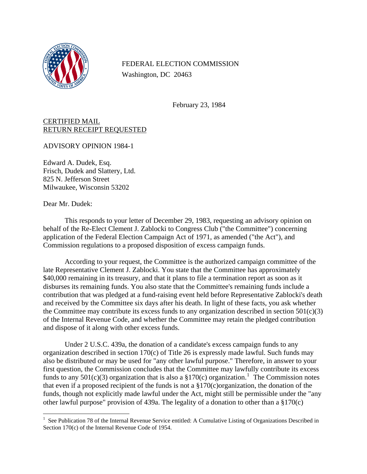

FEDERAL ELECTION COMMISSION Washington, DC 20463

February 23, 1984

## CERTIFIED MAIL RETURN RECEIPT REQUESTED

ADVISORY OPINION 1984-1

Edward A. Dudek, Esq. Frisch, Dudek and Slattery, Ltd. 825 N. Jefferson Street Milwaukee, Wisconsin 53202

Dear Mr. Dudek:

 $\overline{a}$ 

This responds to your letter of December 29, 1983, requesting an advisory opinion on behalf of the Re-Elect Clement J. Zablocki to Congress Club ("the Committee") concerning application of the Federal Election Campaign Act of 1971, as amended ("the Act"), and Commission regulations to a proposed disposition of excess campaign funds.

According to your request, the Committee is the authorized campaign committee of the late Representative Clement J. Zablocki. You state that the Committee has approximately \$40,000 remaining in its treasury, and that it plans to file a termination report as soon as it disburses its remaining funds. You also state that the Committee's remaining funds include a contribution that was pledged at a fund-raising event held before Representative Zablocki's death and received by the Committee six days after his death. In light of these facts, you ask whether the Committee may contribute its excess funds to any organization described in section  $501(c)(3)$ of the Internal Revenue Code, and whether the Committee may retain the pledged contribution and dispose of it along with other excess funds.

Under 2 U.S.C. 439a, the donation of a candidate's excess campaign funds to any organization described in section 170(c) of Title 26 is expressly made lawful. Such funds may also be distributed or may be used for "any other lawful purpose." Therefore, in answer to your first question, the Commission concludes that the Committee may lawfully contribute its excess funds to any  $501(c)(3)$  $501(c)(3)$  $501(c)(3)$  organization that is also a §170(c) organization.<sup>1</sup> The Commission notes that even if a proposed recipient of the funds is not a  $\S170(c)$ organization, the donation of the funds, though not explicitly made lawful under the Act, might still be permissible under the "any other lawful purpose" provision of 439a. The legality of a donation to other than a §170(c)

<span id="page-0-0"></span><sup>&</sup>lt;sup>1</sup> See Publication 78 of the Internal Revenue Service entitled: A Cumulative Listing of Organizations Described in Section 170(c) of the Internal Revenue Code of 1954.